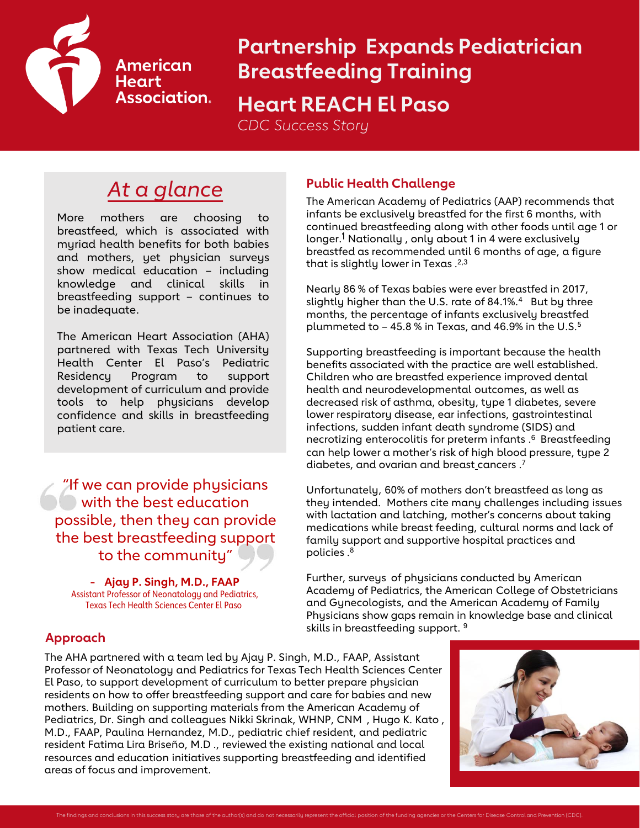

# **Partnership Expands Pediatrician Breastfeeding Training Heart REACH El Paso**

*CDC Success Story* 

# *At a glance*

More mothers are choosing to breastfeed, which is associated with myriad health benefits for both babies and mothers, yet physician surveys show medical education – including knowledge and clinical skills in breastfeeding support – continues to be inadequate.

The American Heart Association (AHA) partnered with Texas Tech University Health Center El Paso's Pediatric Residency Program to support development of curriculum and provide tools to help physicians develop confidence and skills in breastfeeding patient care.

"If we can provide physicians **We with the best education** possible, then they can provide the best breastfeeding support to the community"

 **- Ajay P. Singh, M.D., FAAP**  Assistant Professor of Neonatology and Pediatrics, Texas Tech Health Sciences Center El Paso

### **Public Health Challenge**

 The American Academy of Pediatrics (AAP) recommends that infants be exclusively breastfed for the first 6 months, with continued breastfeeding along with other foods until age 1 or longer.<sup>1</sup> Nationally , only about 1 in 4 were exclusively breastfed as recommended until 6 months of age, a figure that is slightly lower in Texas  $.2,3$ 

 Nearly 86 % of Texas babies were ever breastfed in 2017, slightly higher than the U.S. rate of 84.1%.4 But by three months, the percentage of infants exclusively breastfed plummeted to - 45.8 % in Texas, and 46.9% in the U.S. $5$ 

 decreased risk of asthma, obesity, type 1 diabetes, severe lower respiratory disease, ear infections, gastrointestinal necrotizing enterocolitis for preterm infants . 6 Breastfeeding can help lower a mother's risk of high blood pressure, type 2 Supporting breastfeeding is important because the health benefits associated with the practice are well established. Children who are breastfed experience improved dental health and neurodevelopmental outcomes, as well as infections, sudden infant death syndrome (SIDS) and diabetes, and ovarian and breast cancers . 7

 Unfortunately, 60% of mothers don't breastfeed as long as they intended. Mothers cite many challenges including issues with lactation and latching, mother's concerns about taking medications while breast feeding, cultural norms and lack of family support and supportive hospital practices and policies . 8

 Further, surveys of physicians conducted by American Academy of Pediatrics, the American College of Obstetricians and Gynecologists, and the American Academy of Family Physicians show gaps remain in knowledge base and clinical skills in breastfeeding support. 9

## **Approach**

 The AHA partnered with a team led by Ajay P. Singh, M.D., FAAP, Assistant Professor of Neonatology and Pediatrics for Texas Tech Health Sciences Center El Paso, to support development of curriculum to better prepare physician residents on how to offer breastfeeding support and care for babies and new mothers. Building on supporting materials from the American Academy of Pediatrics, Dr. Singh and colleagues Nikki Skrinak, WHNP, CNM , Hugo K. Kato , M.D., FAAP, Paulina Hernandez, M.D., pediatric chief resident, and pediatric resident Fatima Lira Briseño, M.D ., reviewed the existing national and local resources and education initiatives supporting breastfeeding and identified areas of focus and improvement.